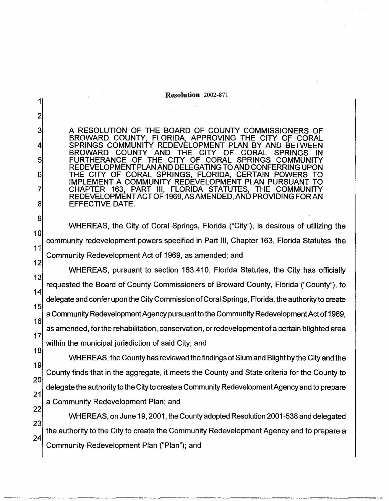Resolution 2002-871

1

2

3

4

5

6

7

8

9

10

11

A RESOLUTION OF THE BOARD OF COUNTY COMMISSIONERS OF BROWARD COUNTY, FLORIDA, APPROVING THE CITY Of CORAL SPRINGS COMMUNITY REDEVELOPMENT PLAN BY AND BETWEEN<br>BROWARD COUNTY AND THE CITY OF CORAL SPRINGS IN COUNTY AND FURTHERANCE OF THE CITY OF CORAL SPRINGS COMMUNITY REDEVELOPMENT PLAN AND DELEGATING TO AND CONFERRING UPON THE CITY OF CORAL SPRINGS, FLORIDA, CERTAIN POWERS TO IMPLEMENT A COMMUNITY REDEVELOPMENT PLAN PURSUANT TO CHAPTER 163, PART Ill, FLORIDA STATUTES, THE COMMUNITY REDEVELOPMENT ACT OF 1969, AS AMENDED, AND PROVIDING FORAN EFFECTIVE DATE.

WHEREAS, the City of Coral Springs, Florida ("City"), is desirous of utilizing the community redevelopment powers specified in Part Ill, Chapter 163, Florida Statutes, the Community Redevelopment Act of 1969, as amended; and

12 13 14 15 16 17 18 WHEREAS, pursuant to section 163.410, Florida Statutes, the City has officially requested the Board of County Commissioners of Broward County, Florida ("County"), to delegate and confer upon the City Commission of Coral Springs, Florida, the authority to create a Community Redevelopment Agency pursuant to the Community Redevelopment Act of 1969, as amended, for the rehabilitation, conservation, or redevelopment of a certain blighted area within the municipal jurisdiction of said City; and

19 20 21 22 WHEREAS, the County has reviewed the findings of Slum and Blight by the City and the County finds that in the aggregate, it meets the County and State criteria for the County to delegate the authority to the City to create a Community Redevelopment Agency and to prepare a Community Redevelopment Plan; and

23 24 WHEREAS, on June 19, 2001, the County adopted Resolution2001-538 and delegated the authority to the City to create the Community Redevelopment Agency and to prepare a Community Redevelopment Plan ("Plan"); and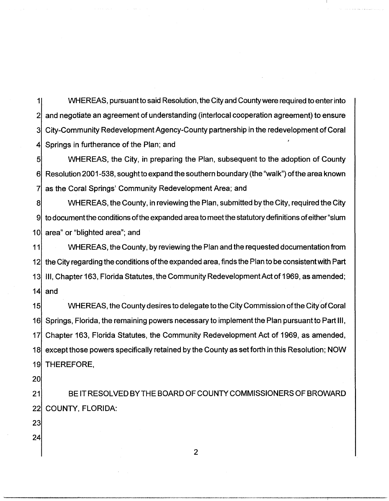1 2 3 4 WHEREAS, pursuant to said Resolution, the City and County were required to enter into and negotiate an agreement of understanding (interlocal cooperation agreement) to ensure City-Community Redevelopment Agency-County partnership in the redevelopment of Coral Springs in furtherance of the Plan; and

5 6| Resolution 2001-538, sought to expand the southern boundary (the "walk") of the area known 7 WHEREAS, the City, in preparing the Plan, subsequent to the adoption of County as the Coral Springs' Community Redevelopment Area; and

8 9 10| area" or "blighted area"; and WHEREAS, the County, in reviewing the Plan, submitted by the City, required the City to document the conditions of the expanded area to meet the statutory definitions of either "slum"

11 12 13 14 WHEREAS, the County, by reviewing the Plan and the requested documentation from the City regarding the conditions ofthe expanded area, finds the Plan to be consistent with Part Ill, Chapter 163, Florida Statutes, the Community Redevelopment Act of 1969, as amended; and

15 16| Springs, Florida, the remaining powers necessary to implement the Plan pursuant to Part III, 17 18 19 WHEREAS, the County desires to delegate to the City Commission of the City of Coral Chapter 163, Florida Statutes, the Community Redevelopment Act of 1969, as amended, except those powers specifically retained by the County as set forth in this Resolution; NOW THEREFORE,

20

21 22 BE IT RESOLVED BY THE BOARD OF COUNTY COMMISSIONERS OF BROWARD COUNTY, FLORIDA:

23

24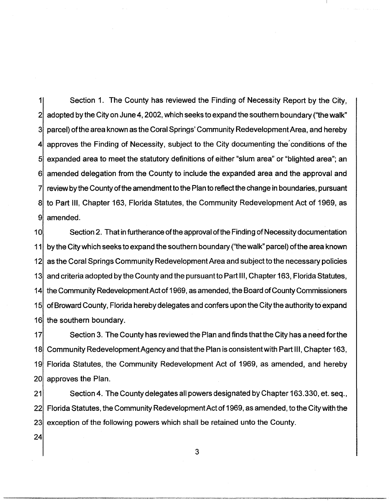1 2 3 4 5 6 7 8 9 Section 1. The County has reviewed the Finding of Necessity Report by the City, adopted by the City on June 4, 2002, which seeks to expand the southern boundary ("the walk" parcel) ofthe area known as the Coral Springs' Community Redevelopment Area, and hereby approves the Finding of Necessity, subject to the City documenting the' conditions of the expanded area to meet the statutory definitions of either "slum area" or "blighted area"; an amended delegation from the County to include the expanded area and the approval and review by the County of the amendment to the Plan to reflect the change in boundaries, pursuant to Part Ill, Chapter 163, Florida Statutes, the Community Redevelopment Act of 1969, as amended.

1 O 11 12 13 14 15 16 the southern boundary. Section 2. That in furtherance of the approval of the Finding of Necessity documentation by the City which seeks to expand the southern boundary ("the walk" parcel) of the area known as the Coral Springs Community Redevelopment Area and subject to the necessary policies and criteria adopted by the County and the pursuant to Part 111, Chapter 163, Florida Statutes, the Community Redevelopment Act of 1969, as amended, the Board ofCounty Commissioners ofBroward County, Florida hereby delegates and confers upon the City the authority toexpand

17 18 19 20 Section 3. The County has reviewed the Plan and finds that the City has a need for the Community Redevelopment Agency and thatthe Plan is consistent with Part Ill, Chapter 163, Florida Statutes, the Community Redevelopment Act of 1969, as amended, and hereby approves the Plan.

21 22 23 Section 4. The County delegates all powers designated by Chapter 163.330, et. seq., Florida Statutes, the Community Redevelopment Act of 1969, as amended, to the City with the exception of the following powers which shall be retained unto the County.

3

24